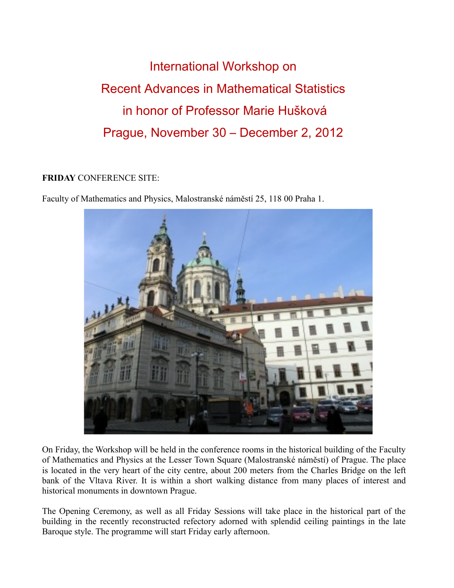International Workshop on Recent Advances in Mathematical Statistics in honor of Professor Marie Hušková Prague, November 30 – December 2, 2012

## **FRIDAY** CONFERENCE SITE:

Faculty of Mathematics and Physics, Malostranské náměstí 25, 118 00 Praha 1.



On Friday, the Workshop will be held in the conference rooms in the historical building of the Faculty of Mathematics and Physics at the Lesser Town Square (Malostranské náměstí) of Prague. The place is located in the very heart of the city centre, about 200 meters from the Charles Bridge on the left bank of the Vltava River. It is within a short walking distance from many places of interest and historical monuments in downtown Prague.

The Opening Ceremony, as well as all Friday Sessions will take place in the historical part of the building in the recently reconstructed refectory adorned with splendid ceiling paintings in the late Baroque style. The programme will start Friday early afternoon.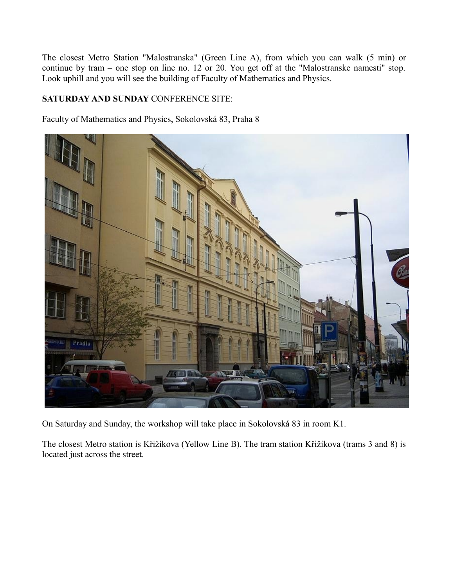The closest Metro Station "Malostranska" (Green Line A), from which you can walk (5 min) or continue by tram – one stop on line no. 12 or 20. You get off at the "Malostranske namesti" stop. Look uphill and you will see the building of Faculty of Mathematics and Physics.

## **SATURDAY AND SUNDAY** CONFERENCE SITE:

Faculty of Mathematics and Physics, Sokolovská 83, Praha 8



On Saturday and Sunday, the workshop will take place in Sokolovská 83 in room K1.

The closest Metro station is Křižíkova (Yellow Line B). The tram station Křižíkova (trams 3 and 8) is located just across the street.